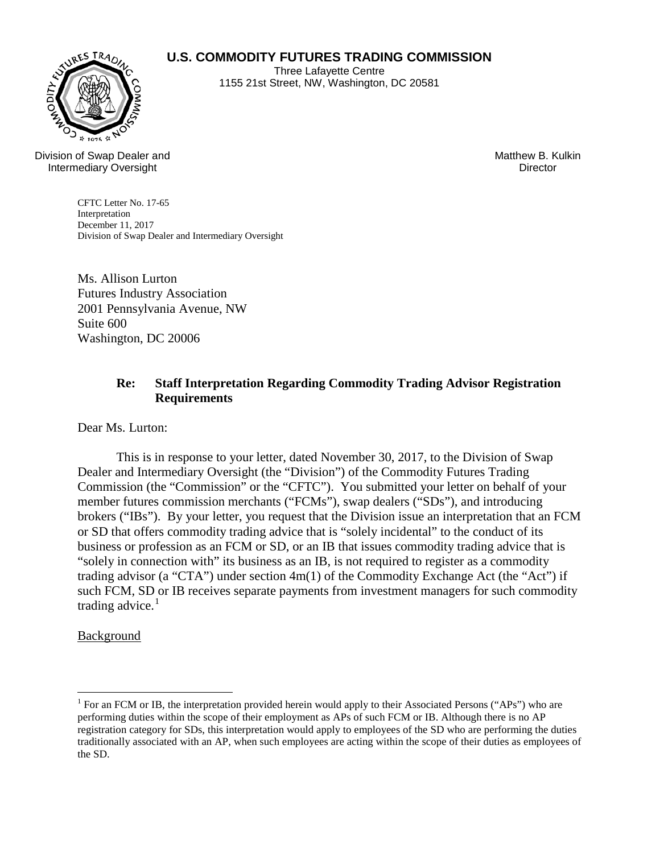## **U.S. COMMODITY FUTURES TRADING COMMISSION**



Three Lafayette Centre 1155 21st Street, NW, Washington, DC 20581

Division of Swap Dealer and Intermediary Oversight

Matthew B. Kulkin **Director** 

CFTC Letter No. 17-65 Interpretation December 11, 2017 Division of Swap Dealer and Intermediary Oversight

Ms. Allison Lurton Futures Industry Association 2001 Pennsylvania Avenue, NW Suite 600 Washington, DC 20006

## **Re: Staff Interpretation Regarding Commodity Trading Advisor Registration Requirements**

Dear Ms. Lurton:

 This is in response to your letter, dated November 30, 2017, to the Division of Swap Dealer and Intermediary Oversight (the "Division") of the Commodity Futures Trading Commission (the "Commission" or the "CFTC"). You submitted your letter on behalf of your member futures commission merchants ("FCMs"), swap dealers ("SDs"), and introducing brokers ("IBs"). By your letter, you request that the Division issue an interpretation that an FCM or SD that offers commodity trading advice that is "solely incidental" to the conduct of its business or profession as an FCM or SD, or an IB that issues commodity trading advice that is "solely in connection with" its business as an IB, is not required to register as a commodity trading advisor (a "CTA") under section 4m(1) of the Commodity Exchange Act (the "Act") if such FCM, SD or IB receives separate payments from investment managers for such commodity trading advice. $<sup>1</sup>$  $<sup>1</sup>$  $<sup>1</sup>$ </sup>

Background

 $\overline{a}$ 

<span id="page-0-0"></span><sup>&</sup>lt;sup>1</sup> For an FCM or IB, the interpretation provided herein would apply to their Associated Persons ("APs") who are performing duties within the scope of their employment as APs of such FCM or IB. Although there is no AP registration category for SDs, this interpretation would apply to employees of the SD who are performing the duties traditionally associated with an AP, when such employees are acting within the scope of their duties as employees of the SD.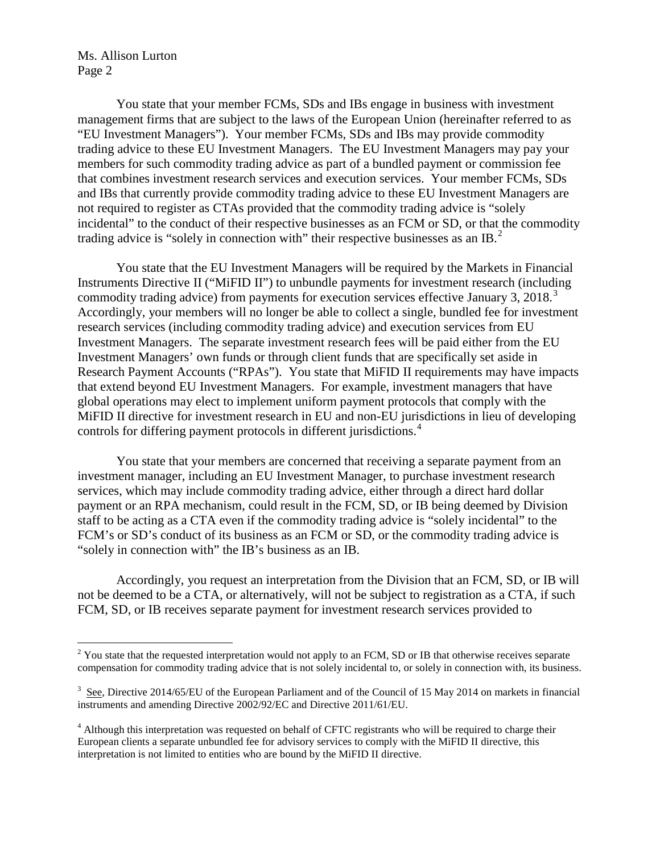Ms. Allison Lurton Page 2

 $\overline{a}$ 

 You state that your member FCMs, SDs and IBs engage in business with investment management firms that are subject to the laws of the European Union (hereinafter referred to as "EU Investment Managers"). Your member FCMs, SDs and IBs may provide commodity trading advice to these EU Investment Managers. The EU Investment Managers may pay your members for such commodity trading advice as part of a bundled payment or commission fee that combines investment research services and execution services. Your member FCMs, SDs and IBs that currently provide commodity trading advice to these EU Investment Managers are not required to register as CTAs provided that the commodity trading advice is "solely incidental" to the conduct of their respective businesses as an FCM or SD, or that the commodity trading advice is "solely in connection with" their respective businesses as an IB.<sup>[2](#page-1-0)</sup>

You state that the EU Investment Managers will be required by the Markets in Financial Instruments Directive II ("MiFID II") to unbundle payments for investment research (including commodity trading advice) from payments for execution services effective January [3](#page-1-1), 2018.<sup>3</sup> Accordingly, your members will no longer be able to collect a single, bundled fee for investment research services (including commodity trading advice) and execution services from EU Investment Managers. The separate investment research fees will be paid either from the EU Investment Managers' own funds or through client funds that are specifically set aside in Research Payment Accounts ("RPAs"). You state that MiFID II requirements may have impacts that extend beyond EU Investment Managers. For example, investment managers that have global operations may elect to implement uniform payment protocols that comply with the MiFID II directive for investment research in EU and non-EU jurisdictions in lieu of developing controls for differing payment protocols in different jurisdictions.<sup>[4](#page-1-2)</sup>

You state that your members are concerned that receiving a separate payment from an investment manager, including an EU Investment Manager, to purchase investment research services, which may include commodity trading advice, either through a direct hard dollar payment or an RPA mechanism, could result in the FCM, SD, or IB being deemed by Division staff to be acting as a CTA even if the commodity trading advice is "solely incidental" to the FCM's or SD's conduct of its business as an FCM or SD, or the commodity trading advice is "solely in connection with" the IB's business as an IB.

Accordingly, you request an interpretation from the Division that an FCM, SD, or IB will not be deemed to be a CTA, or alternatively, will not be subject to registration as a CTA, if such FCM, SD, or IB receives separate payment for investment research services provided to

<span id="page-1-0"></span> $2$  You state that the requested interpretation would not apply to an FCM, SD or IB that otherwise receives separate compensation for commodity trading advice that is not solely incidental to, or solely in connection with, its business.

<span id="page-1-1"></span> $3 \text{ See}$ , Directive 2014/65/EU of the European Parliament and of the Council of 15 May 2014 on markets in financial instruments and amending Directive 2002/92/EC and Directive 2011/61/EU.

<span id="page-1-2"></span><sup>&</sup>lt;sup>4</sup> Although this interpretation was requested on behalf of CFTC registrants who will be required to charge their European clients a separate unbundled fee for advisory services to comply with the MiFID II directive, this interpretation is not limited to entities who are bound by the MiFID II directive.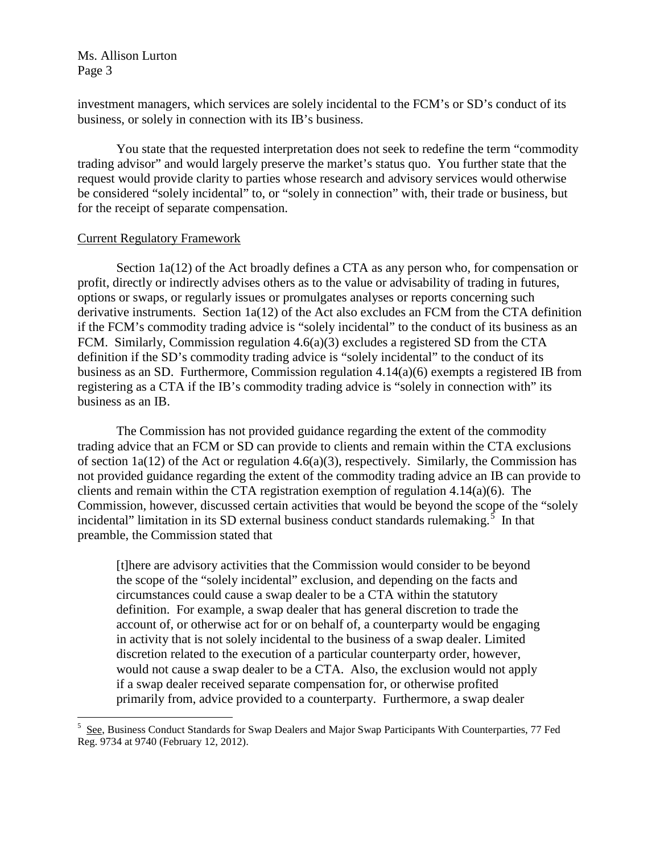Ms. Allison Lurton Page 3

investment managers, which services are solely incidental to the FCM's or SD's conduct of its business, or solely in connection with its IB's business.

You state that the requested interpretation does not seek to redefine the term "commodity trading advisor" and would largely preserve the market's status quo. You further state that the request would provide clarity to parties whose research and advisory services would otherwise be considered "solely incidental" to, or "solely in connection" with, their trade or business, but for the receipt of separate compensation.

## Current Regulatory Framework

 $\overline{a}$ 

 Section 1a(12) of the Act broadly defines a CTA as any person who, for compensation or profit, directly or indirectly advises others as to the value or advisability of trading in futures, options or swaps, or regularly issues or promulgates analyses or reports concerning such derivative instruments. Section 1a(12) of the Act also excludes an FCM from the CTA definition if the FCM's commodity trading advice is "solely incidental" to the conduct of its business as an FCM. Similarly, Commission regulation 4.6(a)(3) excludes a registered SD from the CTA definition if the SD's commodity trading advice is "solely incidental" to the conduct of its business as an SD. Furthermore, Commission regulation 4.14(a)(6) exempts a registered IB from registering as a CTA if the IB's commodity trading advice is "solely in connection with" its business as an IB.

The Commission has not provided guidance regarding the extent of the commodity trading advice that an FCM or SD can provide to clients and remain within the CTA exclusions of section 1a(12) of the Act or regulation 4.6(a)(3), respectively. Similarly, the Commission has not provided guidance regarding the extent of the commodity trading advice an IB can provide to clients and remain within the CTA registration exemption of regulation  $4.14(a)(6)$ . The Commission, however, discussed certain activities that would be beyond the scope of the "solely incidental" limitation in its SD external business conduct standards rulemaking.<sup>[5](#page-2-0)</sup> In that preamble, the Commission stated that

[t]here are advisory activities that the Commission would consider to be beyond the scope of the "solely incidental" exclusion, and depending on the facts and circumstances could cause a swap dealer to be a CTA within the statutory definition. For example, a swap dealer that has general discretion to trade the account of, or otherwise act for or on behalf of, a counterparty would be engaging in activity that is not solely incidental to the business of a swap dealer. Limited discretion related to the execution of a particular counterparty order, however, would not cause a swap dealer to be a CTA. Also, the exclusion would not apply if a swap dealer received separate compensation for, or otherwise profited primarily from, advice provided to a counterparty. Furthermore, a swap dealer

<span id="page-2-0"></span><sup>5</sup> See, Business Conduct Standards for Swap Dealers and Major Swap Participants With Counterparties, 77 Fed Reg. 9734 at 9740 (February 12, 2012).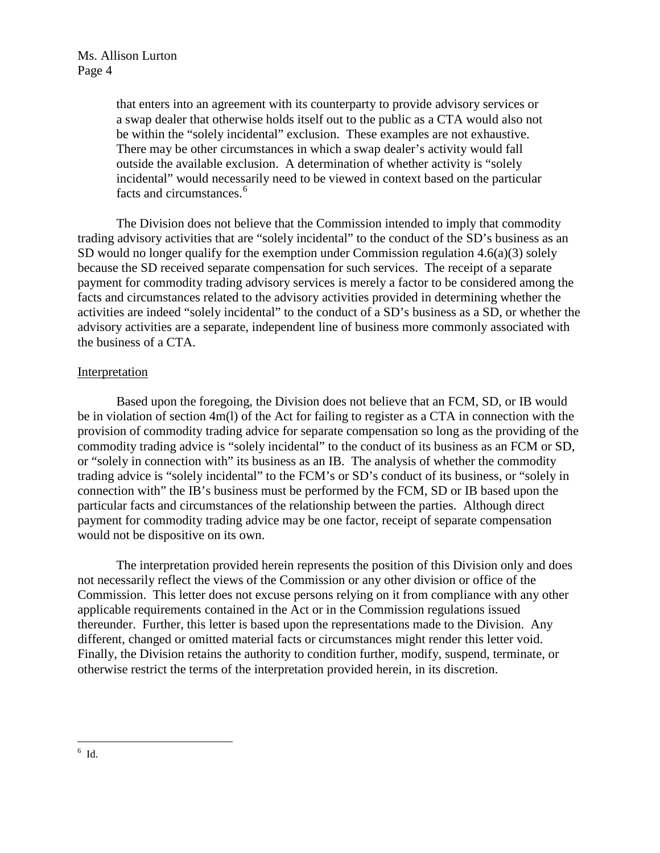that enters into an agreement with its counterparty to provide advisory services or a swap dealer that otherwise holds itself out to the public as a CTA would also not be within the "solely incidental" exclusion. These examples are not exhaustive. There may be other circumstances in which a swap dealer's activity would fall outside the available exclusion. A determination of whether activity is "solely incidental" would necessarily need to be viewed in context based on the particular facts and circumstances.<sup>[6](#page-3-0)</sup>

The Division does not believe that the Commission intended to imply that commodity trading advisory activities that are "solely incidental" to the conduct of the SD's business as an SD would no longer qualify for the exemption under Commission regulation 4.6(a)(3) solely because the SD received separate compensation for such services. The receipt of a separate payment for commodity trading advisory services is merely a factor to be considered among the facts and circumstances related to the advisory activities provided in determining whether the activities are indeed "solely incidental" to the conduct of a SD's business as a SD, or whether the advisory activities are a separate, independent line of business more commonly associated with the business of a CTA.

## **Interpretation**

 Based upon the foregoing, the Division does not believe that an FCM, SD, or IB would be in violation of section 4m(l) of the Act for failing to register as a CTA in connection with the provision of commodity trading advice for separate compensation so long as the providing of the commodity trading advice is "solely incidental" to the conduct of its business as an FCM or SD, or "solely in connection with" its business as an IB. The analysis of whether the commodity trading advice is "solely incidental" to the FCM's or SD's conduct of its business, or "solely in connection with" the IB's business must be performed by the FCM, SD or IB based upon the particular facts and circumstances of the relationship between the parties. Although direct payment for commodity trading advice may be one factor, receipt of separate compensation would not be dispositive on its own.

<span id="page-3-0"></span>The interpretation provided herein represents the position of this Division only and does not necessarily reflect the views of the Commission or any other division or office of the Commission. This letter does not excuse persons relying on it from compliance with any other applicable requirements contained in the Act or in the Commission regulations issued thereunder. Further, this letter is based upon the representations made to the Division. Any different, changed or omitted material facts or circumstances might render this letter void. Finally, the Division retains the authority to condition further, modify, suspend, terminate, or otherwise restrict the terms of the interpretation provided herein, in its discretion.